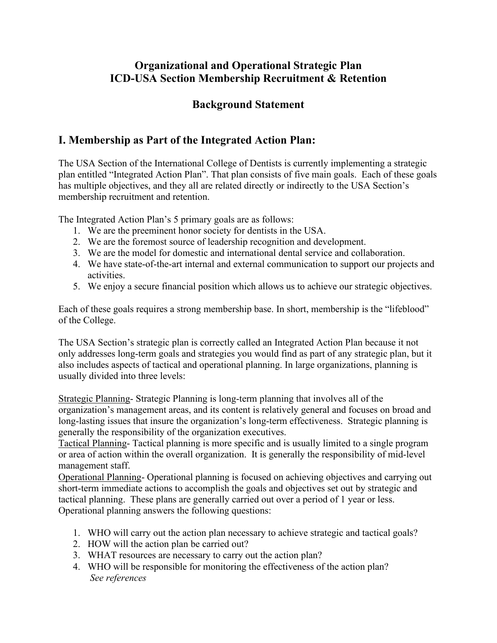# **Organizational and Operational Strategic Plan ICD-USA Section Membership Recruitment & Retention**

### **Background Statement**

# **I. Membership as Part of the Integrated Action Plan:**

The USA Section of the International College of Dentists is currently implementing a strategic plan entitled "Integrated Action Plan". That plan consists of five main goals. Each of these goals has multiple objectives, and they all are related directly or indirectly to the USA Section's membership recruitment and retention.

The Integrated Action Plan's 5 primary goals are as follows:

- 1. We are the preeminent honor society for dentists in the USA.
- 2. We are the foremost source of leadership recognition and development.
- 3. We are the model for domestic and international dental service and collaboration.
- 4. We have state-of-the-art internal and external communication to support our projects and activities.
- 5. We enjoy a secure financial position which allows us to achieve our strategic objectives.

Each of these goals requires a strong membership base. In short, membership is the "lifeblood" of the College.

The USA Section's strategic plan is correctly called an Integrated Action Plan because it not only addresses long-term goals and strategies you would find as part of any strategic plan, but it also includes aspects of tactical and operational planning. In large organizations, planning is usually divided into three levels:

Strategic Planning- Strategic Planning is long-term planning that involves all of the organization's management areas, and its content is relatively general and focuses on broad and long-lasting issues that insure the organization's long-term effectiveness. Strategic planning is generally the responsibility of the organization executives.

Tactical Planning- Tactical planning is more specific and is usually limited to a single program or area of action within the overall organization. It is generally the responsibility of mid-level management staff.

Operational Planning- Operational planning is focused on achieving objectives and carrying out short-term immediate actions to accomplish the goals and objectives set out by strategic and tactical planning. These plans are generally carried out over a period of 1 year or less. Operational planning answers the following questions:

- 1. WHO will carry out the action plan necessary to achieve strategic and tactical goals?
- 2. HOW will the action plan be carried out?
- 3. WHAT resources are necessary to carry out the action plan?
- 4. WHO will be responsible for monitoring the effectiveness of the action plan? *See references*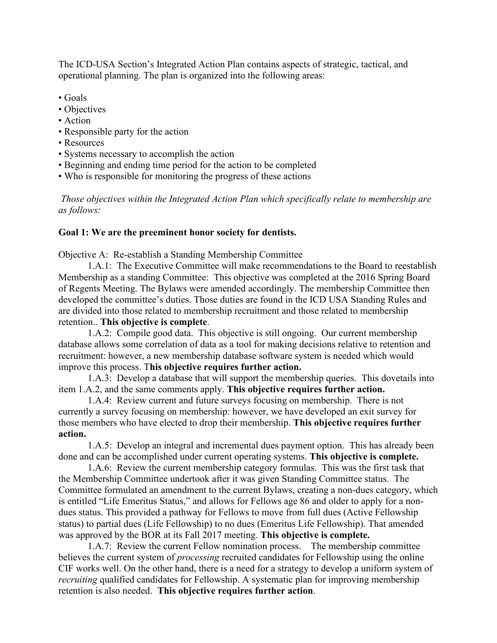The ICD-USA Section's Integrated Action Plan contains aspects of strategic, tactical, and operational planning. The plan is organized into the following areas:

- Goals
- Objectives
- Action
- Responsible party for the action
- Resources
- Systems necessary to accomplish the action
- Beginning and ending time period for the action to be completed
- Who is responsible for monitoring the progress of these actions

*Those objectives within the Integrated Action Plan which specifically relate to membership are as follows:*

### **Goal 1: We are the preeminent honor society for dentists.**

Objective A: Re-establish a Standing Membership Committee

1.A.1: The Executive Committee will make recommendations to the Board to reestablish Membership as a standing Committee: This objective was completed at the 2016 Spring Board of Regents Meeting. The Bylaws were amended accordingly. The membership Committee then developed the committee's duties. Those duties are found in the ICD USA Standing Rules and are divided into those related to membership recruitment and those related to membership retention.. **This objective is complete**.

1.A.2: Compile good data. This objective is still ongoing. Our current membership database allows some correlation of data as a tool for making decisions relative to retention and recruitment: however, a new membership database software system is needed which would improve this process. T**his objective requires further action.**

1.A.3: Develop a database that will support the membership queries. This dovetails into item 1.A.2, and the same comments apply. **This objective requires further action.**

1.A.4: Review current and future surveys focusing on membership. There is not currently a survey focusing on membership: however, we have developed an exit survey for those members who have elected to drop their membership. **This objective requires further action.**

1.A.5: Develop an integral and incremental dues payment option. This has already been done and can be accomplished under current operating systems. **This objective is complete.**

1.A.6: Review the current membership category formulas. This was the first task that the Membership Committee undertook after it was given Standing Committee status. The Committee formulated an amendment to the current Bylaws, creating a non-dues category, which is entitled "Life Emeritus Status," and allows for Fellows age 86 and older to apply for a nondues status. This provided a pathway for Fellows to move from full dues (Active Fellowship status) to partial dues (Life Fellowship) to no dues (Emeritus Life Fellowship). That amended was approved by the BOR at its Fall 2017 meeting. **This objective is complete.**

1.A.7: Review the current Fellow nomination process. The membership committee believes the current system of *processing* recruited candidates for Fellowship using the online CIF works well. On the other hand, there is a need for a strategy to develop a uniform system of *recruiting* qualified candidates for Fellowship. A systematic plan for improving membership retention is also needed. **This objective requires further action**.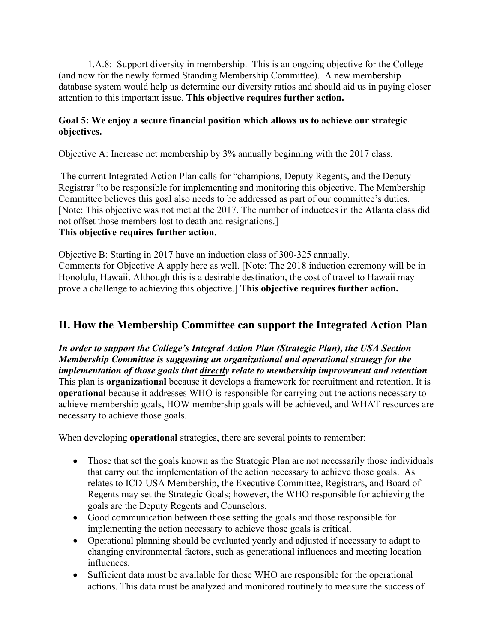1.A.8: Support diversity in membership. This is an ongoing objective for the College (and now for the newly formed Standing Membership Committee). A new membership database system would help us determine our diversity ratios and should aid us in paying closer attention to this important issue. **This objective requires further action.**

### **Goal 5: We enjoy a secure financial position which allows us to achieve our strategic objectives.**

Objective A: Increase net membership by 3% annually beginning with the 2017 class.

The current Integrated Action Plan calls for "champions, Deputy Regents, and the Deputy Registrar "to be responsible for implementing and monitoring this objective. The Membership Committee believes this goal also needs to be addressed as part of our committee's duties. [Note: This objective was not met at the 2017. The number of inductees in the Atlanta class did not offset those members lost to death and resignations.]

### **This objective requires further action**.

Objective B: Starting in 2017 have an induction class of 300-325 annually. Comments for Objective A apply here as well. [Note: The 2018 induction ceremony will be in Honolulu, Hawaii. Although this is a desirable destination, the cost of travel to Hawaii may prove a challenge to achieving this objective.] **This objective requires further action.**

## **II. How the Membership Committee can support the Integrated Action Plan**

*In order to support the College's Integral Action Plan (Strategic Plan), the USA Section Membership Committee is suggesting an organizational and operational strategy for the implementation of those goals that directly relate to membership improvement and retention.*  This plan is **organizational** because it develops a framework for recruitment and retention. It is **operational** because it addresses WHO is responsible for carrying out the actions necessary to achieve membership goals, HOW membership goals will be achieved, and WHAT resources are necessary to achieve those goals.

When developing **operational** strategies, there are several points to remember:

- Those that set the goals known as the Strategic Plan are not necessarily those individuals that carry out the implementation of the action necessary to achieve those goals. As relates to ICD-USA Membership, the Executive Committee, Registrars, and Board of Regents may set the Strategic Goals; however, the WHO responsible for achieving the goals are the Deputy Regents and Counselors.
- Good communication between those setting the goals and those responsible for implementing the action necessary to achieve those goals is critical.
- Operational planning should be evaluated yearly and adjusted if necessary to adapt to changing environmental factors, such as generational influences and meeting location influences.
- Sufficient data must be available for those WHO are responsible for the operational actions. This data must be analyzed and monitored routinely to measure the success of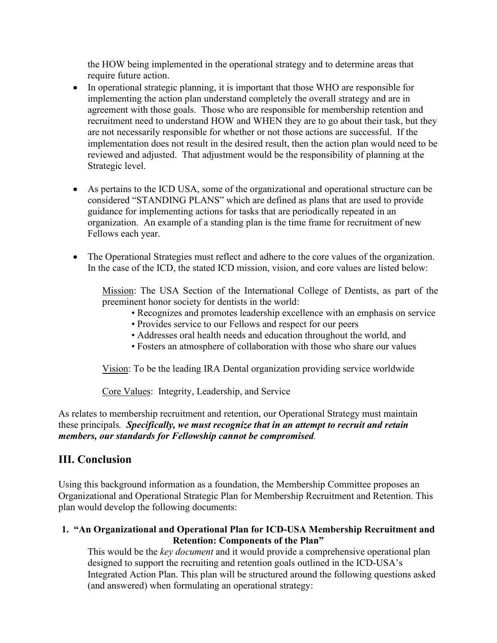the HOW being implemented in the operational strategy and to determine areas that require future action.

- In operational strategic planning, it is important that those WHO are responsible for implementing the action plan understand completely the overall strategy and are in agreement with those goals. Those who are responsible for membership retention and recruitment need to understand HOW and WHEN they are to go about their task, but they are not necessarily responsible for whether or not those actions are successful. If the implementation does not result in the desired result, then the action plan would need to be reviewed and adjusted. That adjustment would be the responsibility of planning at the Strategic level.
- As pertains to the ICD USA, some of the organizational and operational structure can be considered "STANDING PLANS" which are defined as plans that are used to provide guidance for implementing actions for tasks that are periodically repeated in an organization. An example of a standing plan is the time frame for recruitment of new Fellows each year.
- The Operational Strategies must reflect and adhere to the core values of the organization. In the case of the ICD, the stated ICD mission, vision, and core values are listed below:

Mission: The USA Section of the International College of Dentists, as part of the preeminent honor society for dentists in the world:

- Recognizes and promotes leadership excellence with an emphasis on service
- Provides service to our Fellows and respect for our peers
- Addresses oral health needs and education throughout the world, and
- Fosters an atmosphere of collaboration with those who share our values

Vision: To be the leading IRA Dental organization providing service worldwide

Core Values: Integrity, Leadership, and Service

As relates to membership recruitment and retention, our Operational Strategy must maintain these principals*. Specifically, we must recognize that in an attempt to recruit and retain members, our standards for Fellowship cannot be compromised.*

### **III. Conclusion**

Using this background information as a foundation, the Membership Committee proposes an Organizational and Operational Strategic Plan for Membership Recruitment and Retention. This plan would develop the following documents:

### **1. "An Organizational and Operational Plan for ICD-USA Membership Recruitment and Retention: Components of the Plan"**

This would be the *key document* and it would provide a comprehensive operational plan designed to support the recruiting and retention goals outlined in the ICD-USA's Integrated Action Plan. This plan will be structured around the following questions asked (and answered) when formulating an operational strategy: